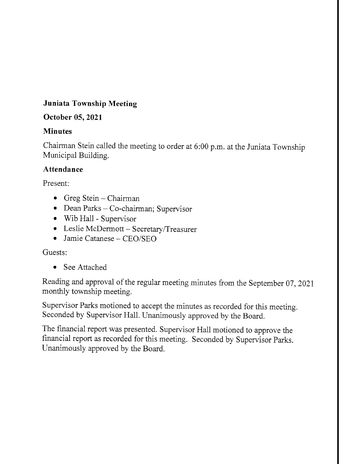## Juniata Township Meeting

## October 05,2021

## Minutes

Chairman Stein cailed the meeting to order at 6:00 p.m. at the Juniata Township Municipal Building.

## Attendance

Present:

- o Greg Stein Chairman
- Dean Parks Co-chairman; Supervisor
- . Wib Hall Supervisor
- Leslie McDermott Secretary/Treasurer
- $\bullet$  Jamie Catanese CEO/SEO

## Guests:

• See Attached

Reading and approval of the regular meeting minutes from the September 07, 2021 monthly township meeting.

Supervisor Parks motioned to accept the minutes as recorded for this meeting. Seconded by Supervisor Hall. Unanimously approved by the Board.

The financial report was presented. Supervisor Hall motioned to approve the financial report as recorded for this meeting. Seconded by Supervisor Parks. Unanimously approved by the Board.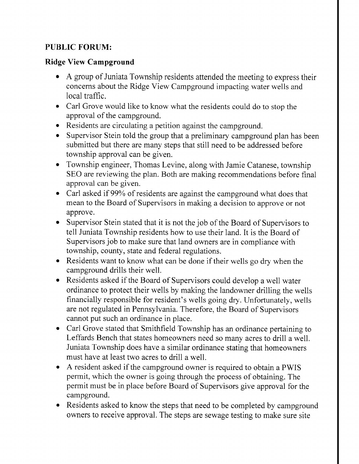## PUBLIC FORUM:

## Ridge View Campground

- A group of Juniata Township residents attended the meeting to express their concems about the Ridge View Campground impacting water wells and local traffic.
- . Carl Grove would like to know what the residents could do to stop the approval of the campground.
- o Residents are circulating a petition against the campground.
- Supervisor Stein told the group that a preliminary campground plan has been submitted but there are many steps that still need to be addressed before township approval can be given.
- o Township engineer, Thomas Levine, along with Jamie Catanese, township SEO are reviewing the plan. Both are making recommendations before final approval can be given.
- . Carl asked if 99% of residents are against the campground what does that mean to the Board of Supervisors in making a decision to approve or not approve.
- Supervisor Stein stated that it is not the job of the Board of Supervisors to tell Juniata Township residents how to use their land. It is the Board of Supervisors job to make sure that land owners are in compliance with township, county, state and federal regulations.
- Residents want to know what can be done if their wells go dry when the campground drills their well.
- o Residents asked if the Board of Supervisors could develop a well water ordinance to protect their wells by making the landowner drilling the wells financially responsible for resident's wells going dry. Unfortunately, wells are not regulated in Pennsylvania. Therefore, the Board of Supervisors cannot put such an ordinance in place.
- . Carl Grove stated that Smithfield Township has an ordinance pertaining to Leffards Bench that states homeowners need so many acres to drill a well. Juniata Township does have a similar ordinance stating that homeowners must have at least two acres to drill a well.
- o A resident asked if the campground owner is required to obtain a PWIS permit, which the owner is going through the process of obtaining. The permit must be in place before Board of Supervisors give approval for the campground.
- Residents asked to know the steps that need to be completed by campground owners to receive approval. The steps are sewage testing to make sure site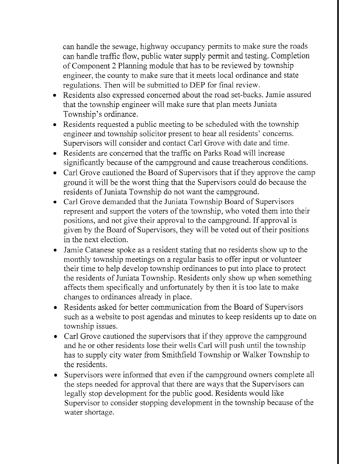can handle the sewage, highway occupancy permits to make sure the roads can handle traffic flow, public water supply permit and testing. Completion of Component 2 Planning module that has to be reviewed by township engineer, the county to make sure that it meets iocal ordinance and state regulations. Then will be submitted to DEP for final review.

- Residents also expressed concerned about the road set-backs. Jamie assured that the township engineer will make sure that plan meets Juniata Township's ordinance.
- Residents requested a public meeting to be scheduled with the township engineer and township solicitor present to hear ali residents' concerns. Supervisors will consider and contact Carl Grove with date and time.
- Residents are concerned that the traffic on Parks Road will increase significantly because of the campground and cause treacherous conditions.
- Carl Grove cautioned the Board of Supervisors that if they approve the camp ground it will be the worst thing that the Supervisors could do because the residents of Juniata Township do not want the campground.
- Carl Grove demanded that the Juniata Township Board of Supervisors represent and support the voters of the township, who voted them into their positions, and not give their approval to the campground. If approval is given by the Board of Supervisors, they will be voted out of their positions in the next election.
- Jamie Catanese spoke as a resident stating that no residents show up to the monthly township meetings on a regular basis to offer input or volunteer their time to help develop township ordinances to put into place to protect the residents of Juniata Township. Residents only show up when something affects them specifically and unfortunately by then it is too late to make changes to ordinances already in place.
- Residents asked for better communication from the Board of Supervisors such as a website to post agendas and minutes to keep residents up to date on township issues.
- Carl Grove cautioned the supervisors that if they approve the campground and he or other residents lose their wells Carl will push until the township has to supply city water from Smithfield Township or Walker Township to the residents.
- Supervisors were informed that even if the campground owners complete all the steps needed for approval that there are ways that the Supervisors can legally stop development for the public good. Residents would like Supervisor to consider stopping development in the township because of the water shortage.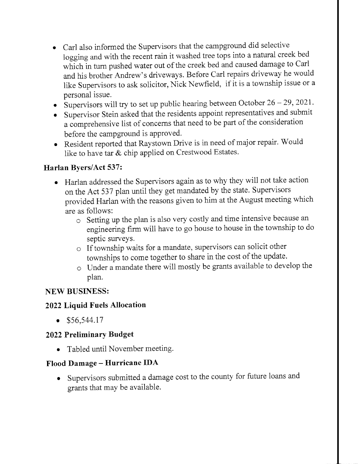- Carl also informed the Supervisors that the campground did selective logging and with the recent rain it washed tree tops into a natural creek bed which in turn pushed water out of the creek bed and caused damage to Carl and his brother Andrew's driveways. Before Carl repairs driveway he would like Supervisors to ask solicitor, Nick Newfield, if it is a township issue or <sup>a</sup> personal issue.
- Supervisors will try to set up public hearing between October  $26 29$ , 2021.
- Supervisor Stein asked that the residents appoint representatives and submit a comprehensive list of concerns that need to be part of the consideration<br>before the camparound is approved before the campground is approved.
- Resident reported that Raystown Drive is in need of major repair. Would like to have tar  $\&$  chip applied on Crestwood Estates.

#### Harlan Byers/Act 537:

- o Harlan addressed the Supervisors again as to why they will not take action on the Act 537 plan until they get mandated by the state. Supervisors provided Harlan with the reasons given to him at the August meeting which are as fbllows:
	- o Setting up the plan is also very costly and time intensive because an engineering firm will have to go house to house in the township to do septic surveys.
	- o If township waits for a mandate, supervisors can solicit other townships to come together to share in the cost of the update.
	- o Under a mandate there will mostly be grants available to develop the plan.

## NEW BUSINESS:

#### 2022 Liquid Fuels Allocation

 $\bullet$  \$56,544.17

#### 2022 Preliminary Budget

. Tabled until November meeting.

#### Flood Damage - Hurricane IDA

o Supervisors submitted a damage cost to the county for future loans and grants that may be available.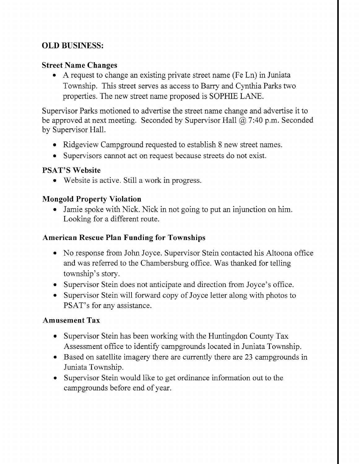## OLD BUSNESS:

## Street Name Changes

o A request to change an existing private street name (Fe Ln) in Juniata Township. This street serves as access to Barry and Cynthia Parks two properties. The new street name proposed is SOPHIE LANE.

Supervisor Parks motioned to advertise the street name change and advertise it to be approved at next meeting. Seconded by Supervisor Hall  $\omega$  7:40 p.m. Seconded by Supervisor Hall.

- Ridgeview Campground requested to establish 8 new street names.
- o Supervisors cannot act on request because streets do not exist.

#### PSAT'S Website

. Website is active. Still a work in progress.

#### Mongold Property Violation

. Jamie spoke with Nick. Nick in not going to put an injunction on him. Looking for a different route.

#### American Rescue Plan Funding for Townships

- No response from John Joyce. Supervisor Stein contacted his Altoona office and was referred to the Chambersburg office. Was thanked for telling township's story.
- o Supervisor Stein does not anticipate and direction from Joyce's office.
- Supervisor Stein will forward copy of Joyce letter along with photos to PSAT's for any assistance.

#### Amusement Tax

- Supervisor Stein has been working with the Huntingdon County Tax Assessment office to identify campgrounds located in Juniata Township.
- Based on satellite imagery there are currently there are 23 campgrounds in Juniata Township.
- . Supervisor Stein would like to get ordinance information out to the campgrounds before end of year.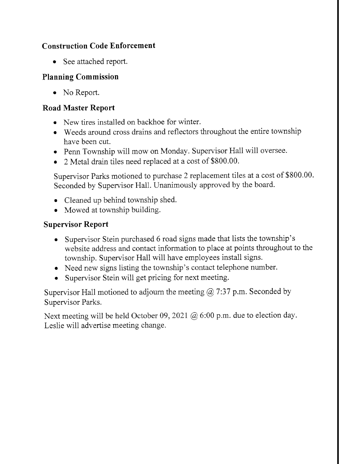## Construction Code Enforcement

• See attached report.

## Planning Commission

• No Report.

## Road Master Report

- . New tires installed on backhoe for winter.
- . Weeds around cross drains and reflectors throughout the entire township have been cut.
- . Penn Township will mow on Monday. Supervisor Hall will oversee.
- o 2 Metal drain tiles need replaced at a cost of \$800.00.

Supervisor Parks motioned to purchase 2 replacement tiles at a cost of \$800.00. Seconded by Supervisor Hall. Unanimously approved by the board.

- . Cleaned up behind township shed.
- o Mowed at township building.

## Supervisor Report

- o Supervisor Stein purchased 6 road signs made that lists the township's website address and contact information to place at points throughout to the township. Supervisor Hall will have employees install signs.
- Need new signs listing the township's contact telephone number.
- Supervisor Stein will get pricing for next meeting.

Supervisor Hall motioned to adjourn the meeting  $\omega$  7:37 p.m. Seconded by Supervisor Parks.

Next meeting will be held October 09, 2021 @ 6:00 p.m. due to election day. Leslie will advertise meeting change.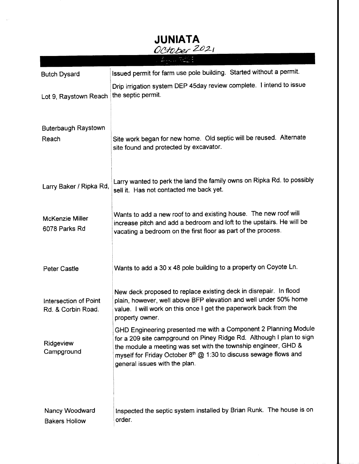| <b>JUNIATA</b><br>October 2021              |                                                                                                                                                                                                                                                                                                                |  |  |  |  |
|---------------------------------------------|----------------------------------------------------------------------------------------------------------------------------------------------------------------------------------------------------------------------------------------------------------------------------------------------------------------|--|--|--|--|
|                                             |                                                                                                                                                                                                                                                                                                                |  |  |  |  |
|                                             |                                                                                                                                                                                                                                                                                                                |  |  |  |  |
| <b>Butch Dysard</b>                         | Issued permit for farm use pole building. Started without a permit.                                                                                                                                                                                                                                            |  |  |  |  |
| Lot 9, Raystown Reach                       | Drip irrigation system DEP 45day review complete. I intend to issue<br>the septic permit.                                                                                                                                                                                                                      |  |  |  |  |
| <b>Buterbaugh Raystown</b><br>Reach         | Site work began for new home. Old septic will be reused. Alternate<br>site found and protected by excavator.                                                                                                                                                                                                   |  |  |  |  |
| Larry Baker / Ripka Rd,                     | Larry wanted to perk the land the family owns on Ripka Rd. to possibly<br>sell it. Has not contacted me back yet.                                                                                                                                                                                              |  |  |  |  |
| <b>McKenzie Miller</b><br>6078 Parks Rd     | Wants to add a new roof to and existing house. The new roof will<br>increase pitch and add a bedroom and loft to the upstairs. He will be<br>vacating a bedroom on the first floor as part of the process.                                                                                                     |  |  |  |  |
| <b>Peter Castle</b>                         | Wants to add a 30 x 48 pole building to a property on Coyote Ln.                                                                                                                                                                                                                                               |  |  |  |  |
| Intersection of Point<br>Rd. & Corbin Road. | New deck proposed to replace existing deck in disrepair. In flood<br>plain, however, well above BFP elevation and well under 50% home<br>value. I will work on this once I get the paperwork back from the<br>property owner.                                                                                  |  |  |  |  |
| Ridgeview<br>Campground                     | GHD Engineering presented me with a Component 2 Planning Module<br>for a 209 site campground on Piney Ridge Rd. Although I plan to sign<br>the module a meeting was set with the township engineer, GHD &<br>myself for Friday October 8th @ 1:30 to discuss sewage flows and<br>general issues with the plan. |  |  |  |  |
| Nancy Woodward<br><b>Bakers Hollow</b>      | Inspected the septic system installed by Brian Runk. The house is on<br>order.                                                                                                                                                                                                                                 |  |  |  |  |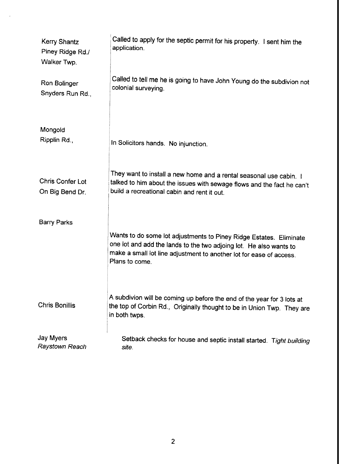| Kerry Shantz<br>Piney Ridge Rd./<br>Walker Twp. | Called to apply for the septic permit for his property. I sent him the<br>application.                                                                                                                                            |
|-------------------------------------------------|-----------------------------------------------------------------------------------------------------------------------------------------------------------------------------------------------------------------------------------|
| Ron Bolinger<br>Snyders Run Rd.,                | Called to tell me he is going to have John Young do the subdivion not<br>colonial surveying.                                                                                                                                      |
| Mongold<br>Ripplin Rd.,                         | In Solicitors hands. No injunction.                                                                                                                                                                                               |
| <b>Chris Confer Lot</b><br>On Big Bend Dr.      | They want to install a new home and a rental seasonal use cabin. I<br>talked to him about the issues with sewage flows and the fact he can't<br>build a recreational cabin and rent it out.                                       |
| Barry Parks                                     | Wants to do some lot adjustments to Piney Ridge Estates. Eliminate<br>one lot and add the lands to the two adjoing lot. He also wants to<br>make a small lot line adjustment to another lot for ease of access.<br>Plans to come. |
| <b>Chris Bonillis</b>                           | A subdivion will be coming up before the end of the year for 3 lots at<br>the top of Corbin Rd., Originally thought to be in Union Twp. They are<br>in both twps.                                                                 |
| Jay Myers<br>Raystown Reach                     | Setback checks for house and septic install started. Tight building<br>site.                                                                                                                                                      |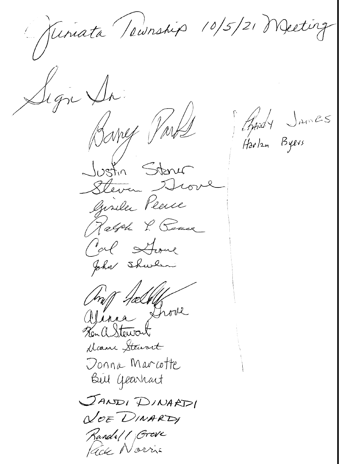Guniata Teunship 10/5/21 Meeting Sign Sr. Aprily James<br>Harlen Byers Bany Part Justin Sterus Steven Hove Giseler Peerce Ralph P. Peace Cal Stone John Shwhen mig fæl Vinna Showe Ken a Stewart Dame Stewart Donna Marcotte Bul Gearhart JANDI DINARDI NOE DINARDI Randell Grove Kide Norris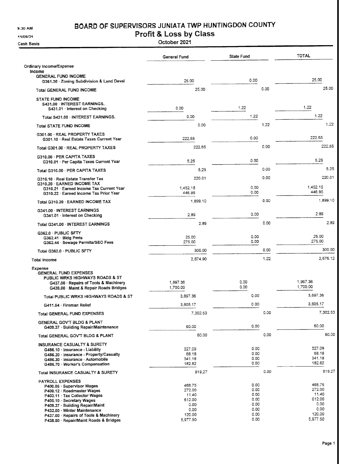9:30 AM

## BOARD OF SUPERVISORS JUNIATA TWP HUNTINGDON COUNTY

11/09/21

Cash Basis

Profit & Loss by Class

October 2021

|                                                                                                                                                                                                                                                                                                      | General Fund                                                              | State Fund                                                   |      | <b>TOTAL</b>                                                              |
|------------------------------------------------------------------------------------------------------------------------------------------------------------------------------------------------------------------------------------------------------------------------------------------------------|---------------------------------------------------------------------------|--------------------------------------------------------------|------|---------------------------------------------------------------------------|
| Ordinary Income/Expense<br>income                                                                                                                                                                                                                                                                    |                                                                           |                                                              |      |                                                                           |
| <b>GENERAL FUND INCOME</b><br>G361.30 > Zoning Subdivision & Land Devel                                                                                                                                                                                                                              | 25.00                                                                     | 0.00                                                         |      | 25.00                                                                     |
| Total GENERAL FUND INCOME                                                                                                                                                                                                                                                                            | 25.00                                                                     |                                                              | 0.00 | 25.00                                                                     |
| <b>STATE FUND INCOME</b><br>S431.00 INTEREST EARNINGS.<br>S431.01 Interest on Checking                                                                                                                                                                                                               | 0.00                                                                      | 1.22                                                         |      | 1.22                                                                      |
| Total S431.00 · INTEREST EARNINGS.                                                                                                                                                                                                                                                                   | 0.00                                                                      | 1.22                                                         |      | 1.22                                                                      |
| Total STATE FUND INCOME                                                                                                                                                                                                                                                                              | 0.00                                                                      |                                                              | 1.22 | 1.22                                                                      |
| G301.00 · REAL PROPERTY TAXES<br>G301.10 · Real Estate Taxes Current Year                                                                                                                                                                                                                            | 222.65                                                                    | 0.00                                                         |      | 222.65                                                                    |
| Total G301.00 · REAL PROPERTY TAXES                                                                                                                                                                                                                                                                  | 222.65                                                                    |                                                              | 0.00 | 222.65                                                                    |
| G310.00 PER CAPITA TAXES<br>G310.01 · Per Capita Taxes Current Year                                                                                                                                                                                                                                  | 5.25                                                                      | 0.00                                                         |      | 5.25                                                                      |
| Total G310.00 PER CAPITA TAXES                                                                                                                                                                                                                                                                       | 5.25                                                                      |                                                              | 0.00 | 5.25                                                                      |
| G310.10 · Real Estate Transfer Tax                                                                                                                                                                                                                                                                   | 220.01                                                                    |                                                              | 0.00 | 220.01                                                                    |
| G310.20 · EARNED INCOME TAX<br>G310.21 · Earned Income Tax Current Year<br>G310.22 Earned Income Tax Prior Year                                                                                                                                                                                      | 1.452.15<br>446.95                                                        | 0.00<br>0.00                                                 |      | 1,452.15<br>446.95                                                        |
| Total G310.20 / EARNED INCOME TAX                                                                                                                                                                                                                                                                    | 1,899.10                                                                  |                                                              | 0.00 | 1,899.10                                                                  |
| G341.00 - INTEREST EARNINGS<br>G341.01 · Interest on Checking                                                                                                                                                                                                                                        | 2.89                                                                      | 0.00                                                         |      | 2.89                                                                      |
| Total G341.00 · INTEREST EARNINGS                                                                                                                                                                                                                                                                    | 2.89                                                                      |                                                              | 0.00 | 2.89                                                                      |
| G362.0 PUBLIC SFTY<br>$G362.41 \cdot$ Bidg Pmts<br>G362.44 Sewage Permits/SEO Fees                                                                                                                                                                                                                   | 25.00<br>275.00                                                           | 0.00<br>0.00                                                 |      | 25.00<br>275.00                                                           |
| Total G362.0 · PUBLIC SFTY                                                                                                                                                                                                                                                                           | 300.00                                                                    |                                                              | 0.00 | 300.00                                                                    |
| Total Income                                                                                                                                                                                                                                                                                         | 2,674.90                                                                  |                                                              | 1.22 | 2,676.12                                                                  |
| Expense<br><b>GENERAL FUND EXPENSES</b><br>PUBLIC WRKS HIGHWAYS ROADS & ST<br>G437.00 · Repairs of Tools & Machinery<br>G438.00 Maint & Repair Roads Bridges                                                                                                                                         | 1,997.36<br>1,700.00                                                      | 0.00<br>0.00                                                 |      | 1,997.36<br>1,700.00                                                      |
| Total PUBLIC WRKS HIGHWAYS ROADS & ST                                                                                                                                                                                                                                                                | 3,697.36                                                                  | 0.00                                                         |      | 3,697.36                                                                  |
| G411.54 · Fireman Relief                                                                                                                                                                                                                                                                             | 3,605.17                                                                  | 0.00                                                         |      | 3,605.17                                                                  |
| Total GENERAL FUND EXPENSES                                                                                                                                                                                                                                                                          | 7,302.53                                                                  |                                                              | 0.00 | 7,302.53                                                                  |
| GENERAL GOV'T BLDG & PLANT<br>G409.37 · Building Repair/Maintenance                                                                                                                                                                                                                                  | 60.00                                                                     | 0.00                                                         |      | 60.00                                                                     |
| Total GENERAL GOV'T BLDG & PLANT                                                                                                                                                                                                                                                                     | 60.00                                                                     |                                                              | 0.00 | 60.00                                                                     |
| INSURANCE CASUALTY & SURETY<br>G486.10 · Insurance - Liability<br>G486.20 Insurance - Property/Casualty<br>G486.30 · Insurance - Automobile<br>G486.70 Worker's Compensation                                                                                                                         | 327.09<br>68.18<br>341.18<br>182.82                                       | 0.00<br>0.00<br>0.00<br>0.00                                 |      | 327.09<br>68.18<br>341.18<br>182.82                                       |
| Total INSURANCE CASUALTY & SURETY                                                                                                                                                                                                                                                                    | 919.27                                                                    |                                                              | 0.00 | 919.27                                                                    |
| <b>PAYROLL EXPENSES</b><br>P400.05 Supervisor Wages<br>P400.12 · Roadmaster Wages<br>P403.11 · Tax Collector Wages<br>P405.10 · Secretary Wages<br>P409.37 · Building Repair/Maint<br>P432.00 · Winter Maintenance<br>P437.00 Repairs of Tools & Machinery<br>P438.00 · Repair/Maint Roads & Bridges | 468.75<br>272.00<br>11.40<br>612.00<br>0.00<br>0.00<br>120.00<br>5,977.50 | 0.00<br>0.00<br>0.00<br>0.00<br>0.00<br>0.00<br>0.00<br>0.00 |      | 468.75<br>272.00<br>11.40<br>612.00<br>0.00<br>0.00<br>120.00<br>5,977.50 |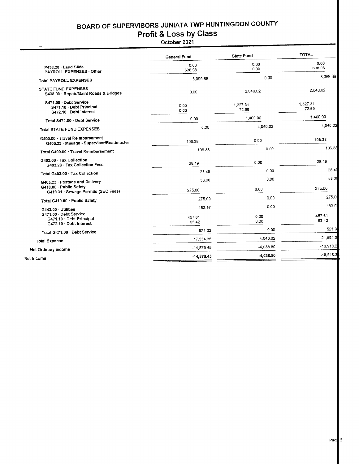# BOARD OF SUPERVISORS JUNIATA TWP HUNTINGDON GOUNTY

# Profit & Loss bY Class

October 2021

|                                                                             | General Fund    | <b>State Fund</b> | <b>TOTAL</b>    |
|-----------------------------------------------------------------------------|-----------------|-------------------|-----------------|
| P438.20 · Land Slide                                                        | 0.00            | 0.00              | 0.00            |
| PAYROLL EXPENSES - Other                                                    | 638.03          | 0.00              | 638.03          |
| <b>Total PAYROLL EXPENSES</b>                                               | 8,099.68        | 0.00              | 8.099.68        |
| STATE FUND EXPENSES                                                         | 0.00            | 2.640.02          | 2,640.02        |
| S438.00 · Repair/Maint Roads & Bridges                                      |                 |                   |                 |
| S471.00 · Debt Service                                                      | 0.00            | 1,327.31          | 1,327.31        |
| S471.10 · Debt Principal<br>S472.10 · Debt Interest                         | 0.00            | 72.69             | 72.69           |
| Total S471.00 Debt Service                                                  | 0.00            | 1,400.00          | 1,400.00        |
| <b>Total STATE FUND EXPENSES</b>                                            | 0.00            | 4.040.02          | 4,040.02        |
| G400.00 · Travel Reimbursement<br>G400.33 · Mileage - Supervisor/Roadmaster | 106.38          | 0.00              | 106.38          |
| Total G400.00 · Travel Reimbursement                                        | 106.38          | 0.00              | 106.38          |
| G403.00 · Tax Collection<br>G403.28 · Tax Collection Fees                   | 28.49           | 0.00              | 28.49           |
| Total G403.00 Tax Collection                                                | 28.49           | 0.00              | 28.49           |
| G405.23 Postage and Delivery                                                | 58.00           | 0.00              | 58.00           |
| G410.00 - Public Safety<br>G419.31 · Sewage Permits (SEO Fees)              | 275.00          | 0.00              | 275.00          |
| Total G410.00 Public Safety                                                 | 275.00          | 0.00              | 275.00          |
| $G442.00 \cdot$ Utilities                                                   | 183.97          | 0.00              | 183.91          |
| G471.00 · Debt Service<br>G471.10 Debt Principal<br>G472.10 · Debt Interest | 457.61<br>63.42 | 0.00<br>0.00      | 457.61<br>63.42 |
| Total G471.00 · Debt Service                                                | 521.03          | 0.00              | 521.0           |
| <b>Total Expense</b>                                                        | 17,554.35       | 4.040.02          | 21.594.3        |
| Net Ordinary income                                                         | $-14,879.45$    | $-4,038.80$       | $-18,918.2$     |
|                                                                             | $-14,879.45$    | -4.038.80         | $-18,918.2$     |
| Net Income                                                                  |                 |                   |                 |